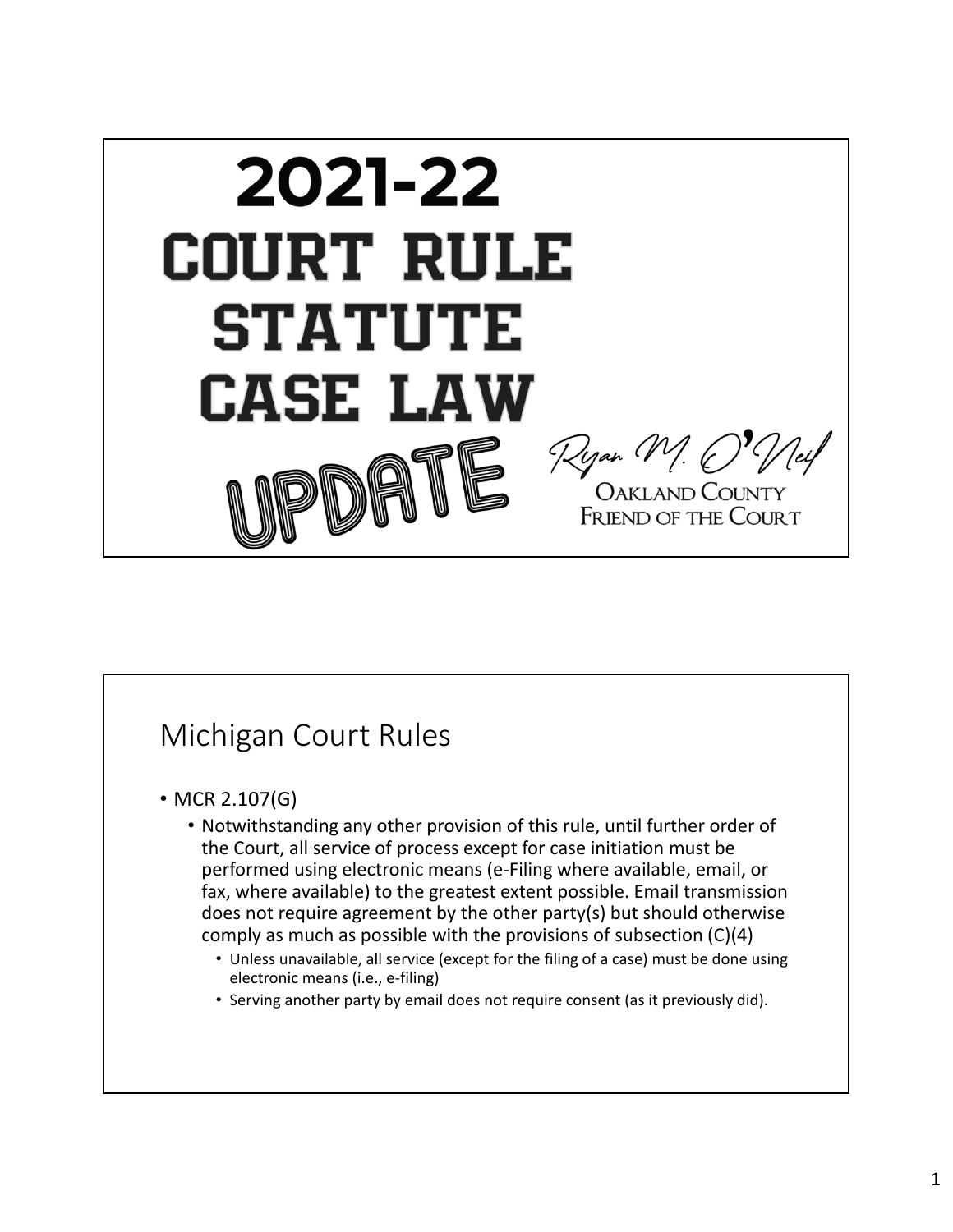

# Michigan Court Rules

- MCR 2.107(G)
	- Notwithstanding any other provision of this rule, until further order of the Court, all service of process except for case initiation must be performed using electronic means (e‐Filing where available, email, or fax, where available) to the greatest extent possible. Email transmission does not require agreement by the other party(s) but should otherwise comply as much as possible with the provisions of subsection (C)(4)
		- Unless unavailable, all service (except for the filing of a case) must be done using electronic means (i.e., e‐filing)
		- Serving another party by email does not require consent (as it previously did).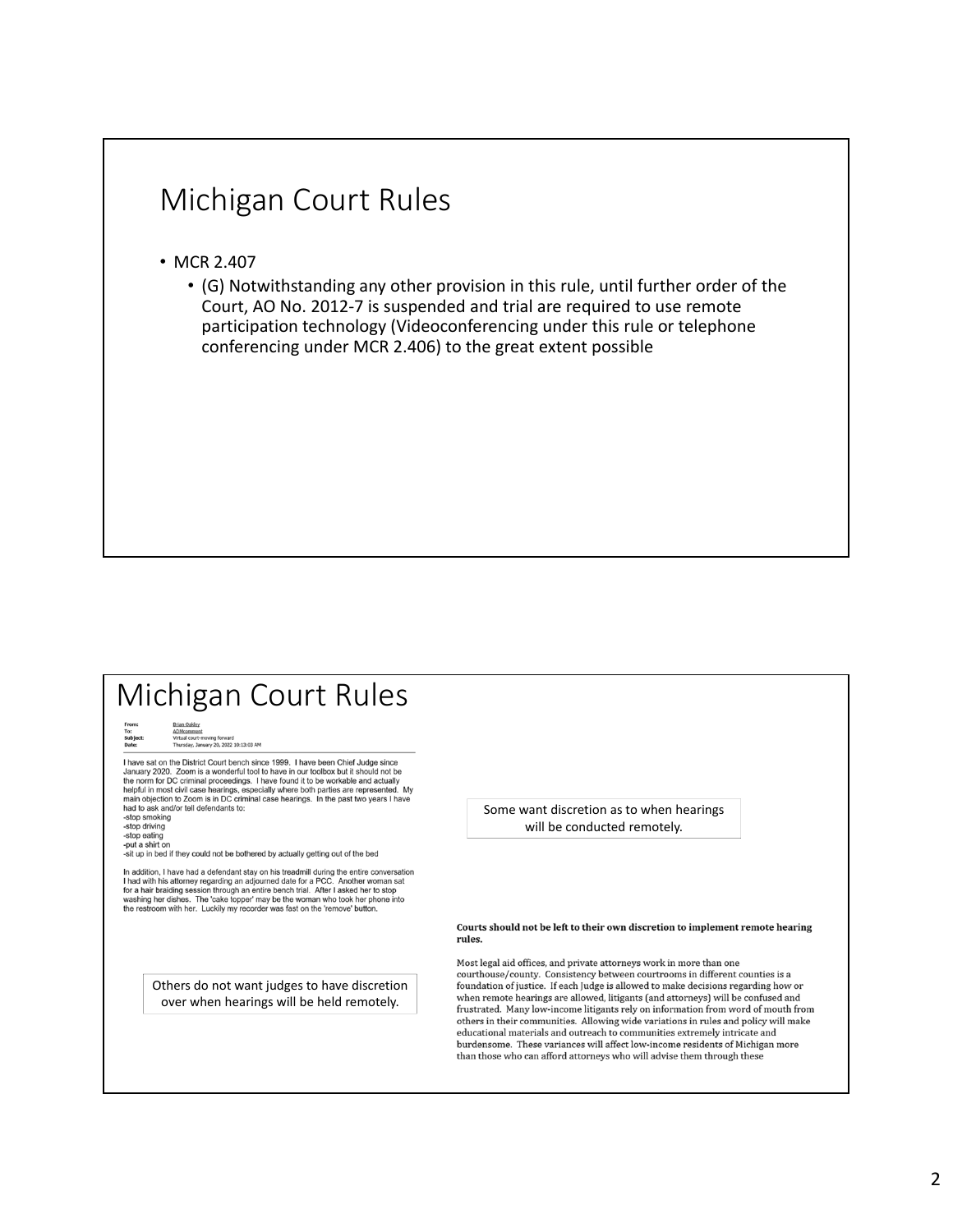#### Michigan Court Rules

- MCR 2.407
	- (G) Notwithstanding any other provision in this rule, until further order of the Court, AO No. 2012‐7 is suspended and trial are required to use remote participation technology (Videoconferencing under this rule or telephone conferencing under MCR 2.406) to the great extent possible

#### Michigan Court Rules To:<br>To:<br>Subject:<br>Date: ourt-moving forward<br>y, January 20, 2022 10:13:03 AM I have sat on the District Court bench since 1999. I have been Chief Judge since There are or the branch countries and process that the branch of the branch of the state of the norm for DC criminal proceedings. I have found it to be workable and actually the norm for DC criminal proceedings. I have fou helpful in most civil case hearings, especially where both parties are represented. My main objection to Zoom is in DC criminal case hearings. In the past two years I have had to ask and/or tell defendants to:<br>-stop smoking Some want discretion as to when hearings -stop driving will be conducted remotely. -stop eating -ou-<br>-put a shirt on<br>-sit up in bed if they could not be bothered by actually getting out of the bed In addition, I have had a defendant stay on his treadmill during the entire conversation In advisible and with his attorney regarding an adjourned date for a PCC. Another woman sat<br>In a with his attorney regarding an adjourned date for a PCC. Another woman sat<br>for a hair braiding session through an entire benc Courts should not be left to their own discretion to implement remote hearing rules. Most legal aid offices, and private attorneys work in more than one courthouse/county. Consistency between courtrooms in different counties is a Others do not want judges to have discretion foundation of justice. If each Judge is allowed to make decisions regarding how or when remote hearings are allowed, litigants (and attorneys) will be confused and over when hearings will be held remotely.frustrated. Many low-income litigants rely on information from word of mouth from others in their communities. Allowing wide variations in rules and policy will make educational materials and outreach to communities extremely intricate and burdensome. These variances will affect low-income residents of Michigan more than those who can afford attorneys who will advise them through these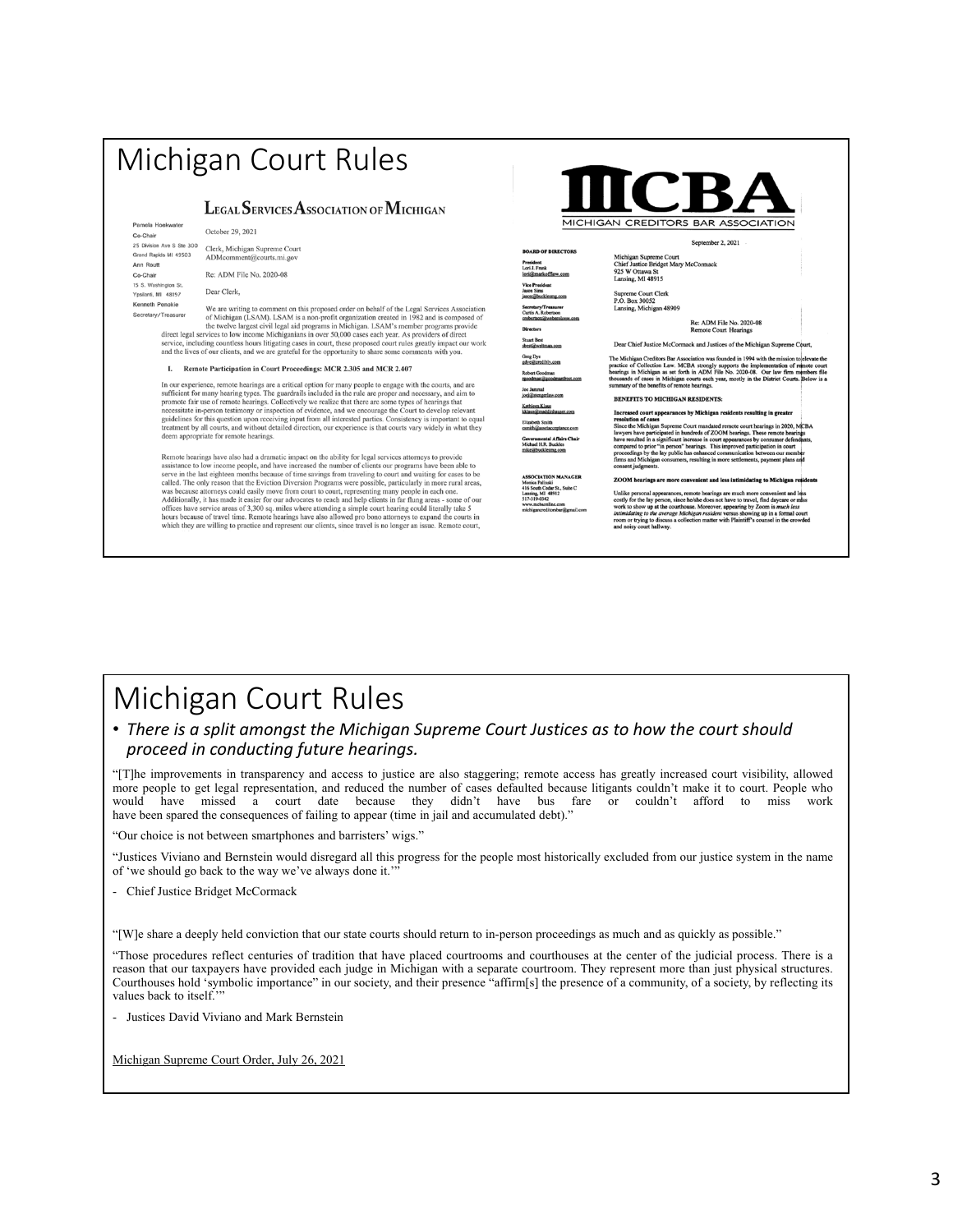# Michigan Court Rules

#### LEGAL SERVICES ASSOCIATION OF MICHIGAN

Pamela Hoekwater October 29, 2021 Co-Chair 25 Division Ave S Ste 300 Clerk, Michigan Supreme Court Grand Rapids MI 49503 ADMcomment@courts.mi.go Ann Routt Co-Chair 15 S. Washington St Ypsilanti, MI 48197 .<br>enneth Penokie

Re: ADM File No. 2020-08 Dear Clerk,

Penokie<br>
We are writing to comment on this proposed order on behalf of the Legal Services Association<br>
of Michigan (LSAM). LSAM is non-profit organization created in 1982 and is composed of<br>
the twelve largest civil legal Secretary/Treasurer including countless hours litigating cases in court, these proposed court rules greatly impact our work and the lives of our clients, and we are grateful for the opportunity to share some comments with you.

I. Remote Participation in Court Proceedings: MCR 2.305 and MCR 2.407

In our experience, remote hearings are a critical option for many people to engage with the courts, and are sufficient for many hearing types. The guardrails included in the rule are proper and necessary, and aim promote

Remote hearings have also had a dramatic impact on the ability for legal services attorneys to provid assistance to low income people, and have increased the number of clients our programs have been able to assustance to own income people, and nave increased une futuroer or elements of programs have been able severe in the last eighteen months because of time savings from traveling to court and waiting for cases to be called.

|                                | MICHIGAN CREDITORS BAR ASSOCIATION                                                                     |
|--------------------------------|--------------------------------------------------------------------------------------------------------|
|                                | September 2, 2021                                                                                      |
| <b>DIRECTORS</b><br>offiaw.com | Michigan Supreme Court<br>Chief Justice Bridget Mary McCormack<br>925 W Ottawa St<br>Lansing, MI 48915 |

President<br>Lori J. Frank<br><u>lori@markof</u><br>Vice Presiden<br>Jason Sims<br>jason@buckle<br>Secretary/Tre<br>Curtis A. Robe<br>crobertson@w Cutus A. Roomson<br>Crobertson@weberole<br>Stuart Best<br>Shest@weltman.com<br>Greg Dye obert Goodman<br><u>toodman@goodr</u> oe Jammal<br>oej@stengerlaw.com Kathleen Klaus<br>kklaus@maddinhauser.com

#### Elizabeth Smith<br>csmith@assetacceptance.com ernmental Affairs Cha<br>hael H.R. Buckles<br>Chuobh

SOCIATION MANAGER<br>nica Palinski<br>i South Cedar St., Suite C<br>sing, MI 48912<br>'-319-0342

Supreme Court Clerk<br>P.O. Box 30052<br>Lansing, Michigan 48909

Re: ADM File No. 2020-08<br>Remote Court Hearings

Dear Chief Justice McCormack and Justices of the Michigan Supreme

The Michigan Creditors Bar Association was founded in 1994 with the mission to<br>practice of Collection Law. MCBA strongly supports the implementation of rule<br>paragonic for the bearings in Michigan as set forth in ADM File

#### **BENEFITS TO MICHIGAN RESIDENTS:**

Increased court appearances by Michigan residents resulting in greater and<br>other Michigan residents are court manded remote court heatings in 2020, MCBA<br>lawyers have participated in hundreds of ZOOM henrings. These remote

The mean appearances, remote hearings are much more convenient and less<br>tilt personal appearances, remote hearings are much more convenient and less<br>the to show up at the countbouse. Moreover, appearing by Zoom is much les

#### Michigan Court Rules

#### • *There is a split amongst the Michigan Supreme Court Justices as to how the court should proceed in conducting future hearings.*

"[T]he improvements in transparency and access to justice are also staggering; remote access has greatly increased court visibility, allowed more people to get legal representation, and reduced the number of cases defaulted because litigants couldn't make it to court. People who would have missed a court date because they didn't have bus fare or couldn't afford to miss work have been spared the consequences of failing to appear (time in jail and accumulated debt)."

"Our choice is not between smartphones and barristers' wigs."

"Justices Viviano and Bernstein would disregard all this progress for the people most historically excluded from our justice system in the name of 'we should go back to the way we've always done it.'

- Chief Justice Bridget McCormack

"[W]e share a deeply held conviction that our state courts should return to in-person proceedings as much and as quickly as possible."

"Those procedures reflect centuries of tradition that have placed courtrooms and courthouses at the center of the judicial process. There is a reason that our taxpayers have provided each judge in Michigan with a separate courtroom. They represent more than just physical structures. Courthouses hold 'symbolic importance" in our society, and their presence "affirm[s] the presence of a community, of a society, by reflecting its values back to itself.'

- Justices David Viviano and Mark Bernstein

Michigan Supreme Court Order, July 26, 2021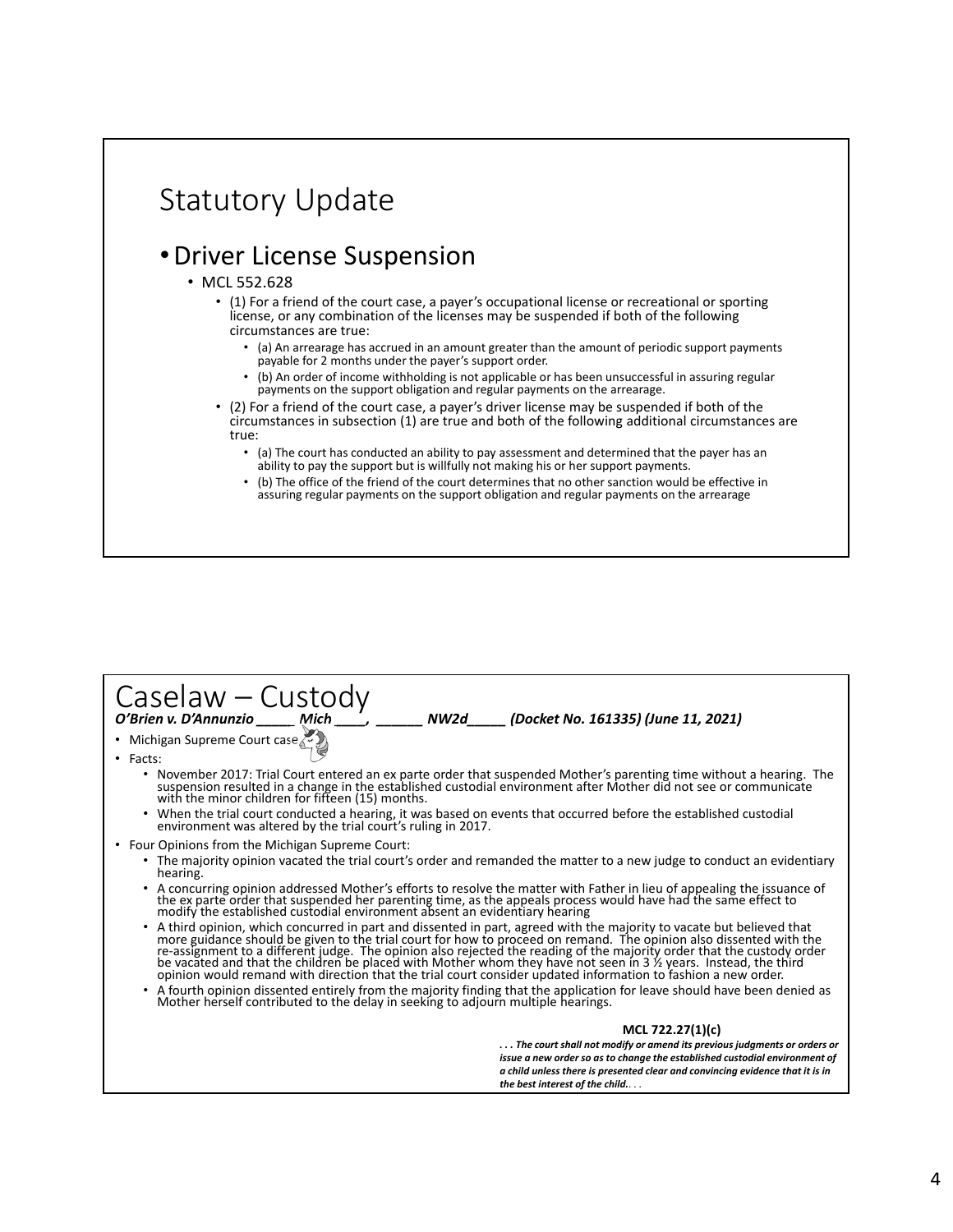

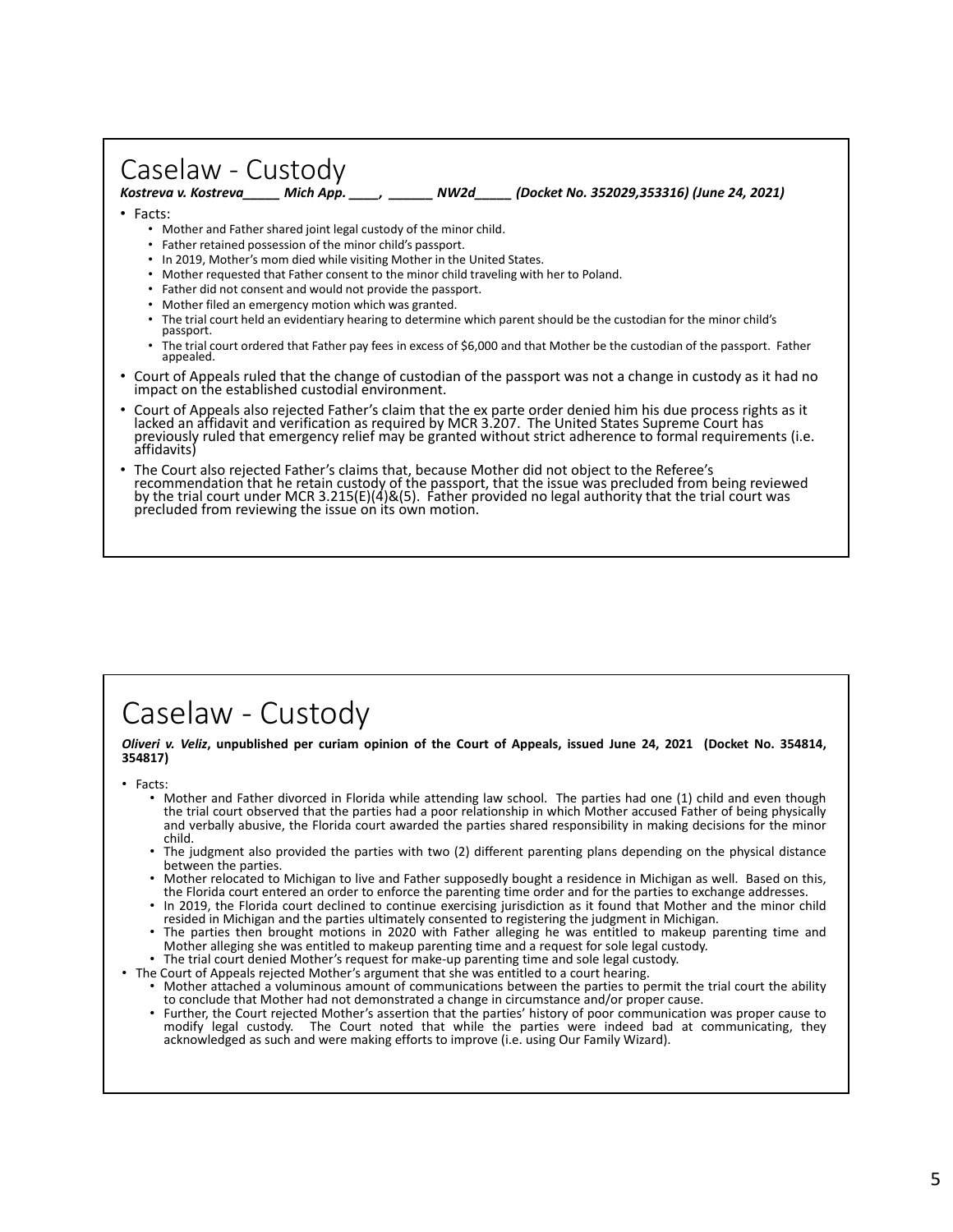# Caselaw - Custody<br>
Kostreva v. Kostreva \_\_\_ Mich App.

*Kostreva v. Kostreva\_\_\_\_\_ Mich App. \_\_\_\_, \_\_\_\_\_\_ NW2d\_\_\_\_\_ (Docket No. 352029,353316) (June 24, 2021)* 

- Facts:
	- Mother and Father shared joint legal custody of the minor child.
	- Father retained possession of the minor child's passport.
	- In 2019, Mother's mom died while visiting Mother in the United States.
	- Mother requested that Father consent to the minor child traveling with her to Poland.
	- Father did not consent and would not provide the passport.
	- Mother filed an emergency motion which was granted.
	- The trial court held an evidentiary hearing to determine which parent should be the custodian for the minor child's passport.
	- The trial court ordered that Father pay fees in excess of \$6,000 and that Mother be the custodian of the passport. Father appealed.
- Court of Appeals ruled that the change of custodian of the passport was not a change in custody as it had no impact on the established custodial environment.
- Court of Appeals also rejected Father's claim that the ex parte order denied him his due process rights as it lacked an affidavit and verification as required by MCR 3.207. The United States Supreme Court has previously ru
- The Court also rejected Father's claims that, because Mother did not object to the Referee's<br>recommendation that he retain custody of the passport, that the issue was precluded from being reviewed<br>by the trial court under

### Caselaw ‐ Custody

#### *Oliveri v. Veliz***, unpublished per curiam opinion of the Court of Appeals, issued June 24, 2021 (Docket No. 354814, 354817)**

- 
- Facts: Mother and Father divorced in Florida while attending law school. The parties had one (1) child and even though the trial court observed that the parties had a poor relationship in which Mother accused Father of being physically and verbally abusive, the Florida court awarded the parties shared responsibility in making decisions for the minor
	- The judgment also provided the parties with two (2) different parenting plans depending on the physical distance between the parties.
	- Mother relocated to Michigan to live and Father supposedly bought a residence in Michigan as well. Based on this, the Florida court entered an order to enforce the parenting time order and for the parties to exchange addre
	- In 2019, the Florida court declined to continue exercising jurisdiction as it found that Mother and the minor child resided in Michigan and the parties ultimately consented to registering the judgment in Michigan.
	- The parties then brought motions in 2020 with Father alleging he was entitled to makeup parenting time and Mother alleging she was entitled to makeup parenting time and a request for sole legal custody.
	-
	-
- The trial court denied Mother's request for make-up parenting time and sole legal custody.<br>• The Court of Appeals rejected Mother's argument that she was entitled to a court hearing.<br>• Mother attached a voluminous amount
	- Further, the Court rejected Mother's assertion that the parties' history of poor communication was proper cause to modify legal custody. The Court noted that while the parties were indeed bad at communicating, they acknowledged as such and were making efforts to improve (i.e. using Our Family Wizard).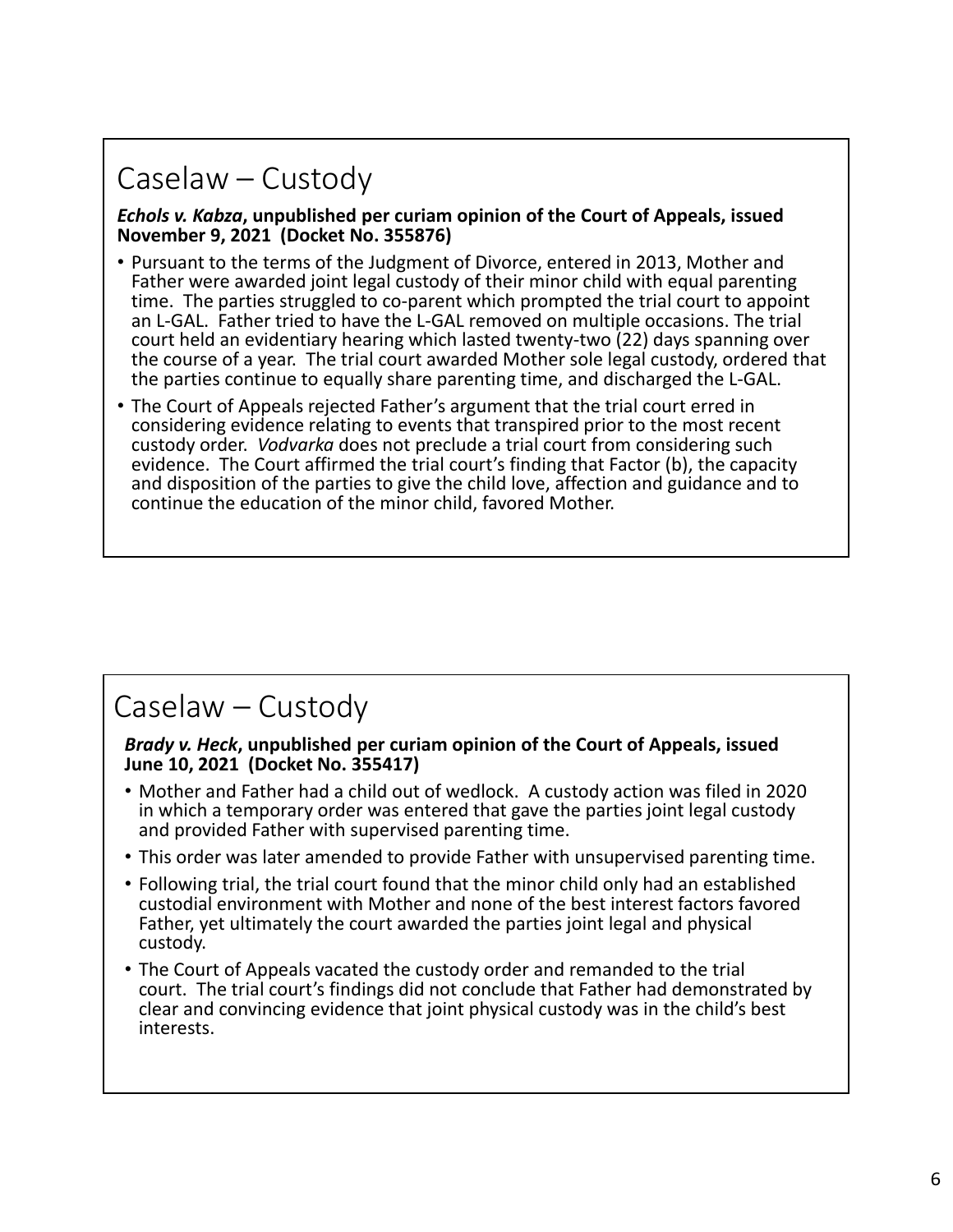# Caselaw – Custody

#### *Echols v. Kabza***, unpublished per curiam opinion of the Court of Appeals, issued November 9, 2021 (Docket No. 355876)**

- Pursuant to the terms of the Judgment of Divorce, entered in 2013, Mother and Father were awarded joint legal custody of their minor child with equal parenting time. The parties struggled to co‐parent which prompted the trial court to appoint an L‐GAL. Father tried to have the L‐GAL removed on multiple occasions. The trial court held an evidentiary hearing which lasted twenty‐two (22) days spanning over the course of a year. The trial court awarded Mother sole legal custody, ordered that the parties continue to equally share parenting time, and discharged the L‐GAL.
- The Court of Appeals rejected Father's argument that the trial court erred in considering evidence relating to events that transpired prior to the most recent custody order. *Vodvarka* does not preclude a trial court from considering such evidence. The Court affirmed the trial court's finding that Factor (b), the capacity and disposition of the parties to give the child love, affection and guidance and to continue the education of the minor child, favored Mother.

### Caselaw – Custody

#### *Brady v. Heck***, unpublished per curiam opinion of the Court of Appeals, issued June 10, 2021 (Docket No. 355417)**

- Mother and Father had a child out of wedlock. A custody action was filed in 2020 in which a temporary order was entered that gave the parties joint legal custody and provided Father with supervised parenting time.
- This order was later amended to provide Father with unsupervised parenting time.
- Following trial, the trial court found that the minor child only had an established custodial environment with Mother and none of the best interest factors favored Father, yet ultimately the court awarded the parties joint legal and physical custody.
- The Court of Appeals vacated the custody order and remanded to the trial court. The trial court's findings did not conclude that Father had demonstrated by clear and convincing evidence that joint physical custody was in the child's best interests.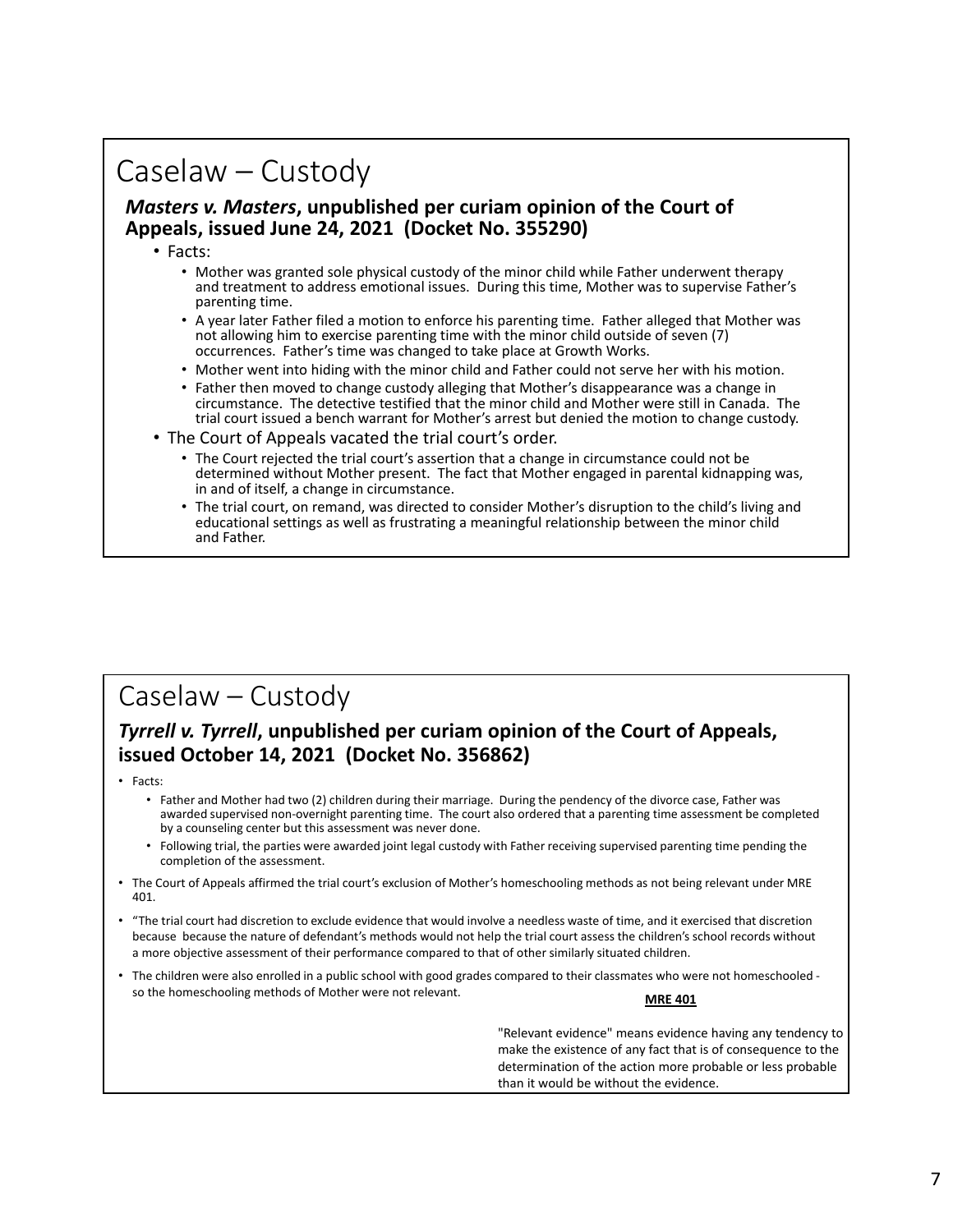### Caselaw – Custody

#### *Masters v. Masters***, unpublished per curiam opinion of the Court of Appeals, issued June 24, 2021 (Docket No. 355290)**

- Facts:
	- Mother was granted sole physical custody of the minor child while Father underwent therapy and treatment to address emotional issues. During this time, Mother was to supervise Father's parenting time.
	- A year later Father filed a motion to enforce his parenting time. Father alleged that Mother was not allowing him to exercise parenting time with the minor child outside of seven (7) occurrences. Father's time was changed to take place at Growth Works.
	- Mother went into hiding with the minor child and Father could not serve her with his motion.
	- Father then moved to change custody alleging that Mother's disappearance was a change in circumstance. The detective testified that the minor child and Mother were still in Canada. The trial court issued a bench warrant for Mother's arrest but denied the motion to change custody.
- The Court of Appeals vacated the trial court's order.
	- The Court rejected the trial court's assertion that a change in circumstance could not be determined without Mother present. The fact that Mother engaged in parental kidnapping was, in and of itself, a change in circumstance.
	- The trial court, on remand, was directed to consider Mother's disruption to the child's living and educational settings as well as frustrating a meaningful relationship between the minor child and Father.

#### Caselaw – Custody

#### *Tyrrell v. Tyrrell***, unpublished per curiam opinion of the Court of Appeals, issued October 14, 2021 (Docket No. 356862)**

- Facts:
	- Father and Mother had two (2) children during their marriage. During the pendency of the divorce case, Father was awarded supervised non‐overnight parenting time. The court also ordered that a parenting time assessment be completed by a counseling center but this assessment was never done.
	- Following trial, the parties were awarded joint legal custody with Father receiving supervised parenting time pending the completion of the assessment.
- The Court of Appeals affirmed the trial court's exclusion of Mother's homeschooling methods as not being relevant under MRE 401.
- "The trial court had discretion to exclude evidence that would involve a needless waste of time, and it exercised that discretion because because the nature of defendant's methods would not help the trial court assess the children's school records without a more objective assessment of their performance compared to that of other similarly situated children.
- The children were also enrolled in a public school with good grades compared to their classmates who were not homeschooled ‐ so the homeschooling methods of Mother were not relevant.

"Relevant evidence" means evidence having any tendency to make the existence of any fact that is of consequence to the determination of the action more probable or less probable than it would be without the evidence.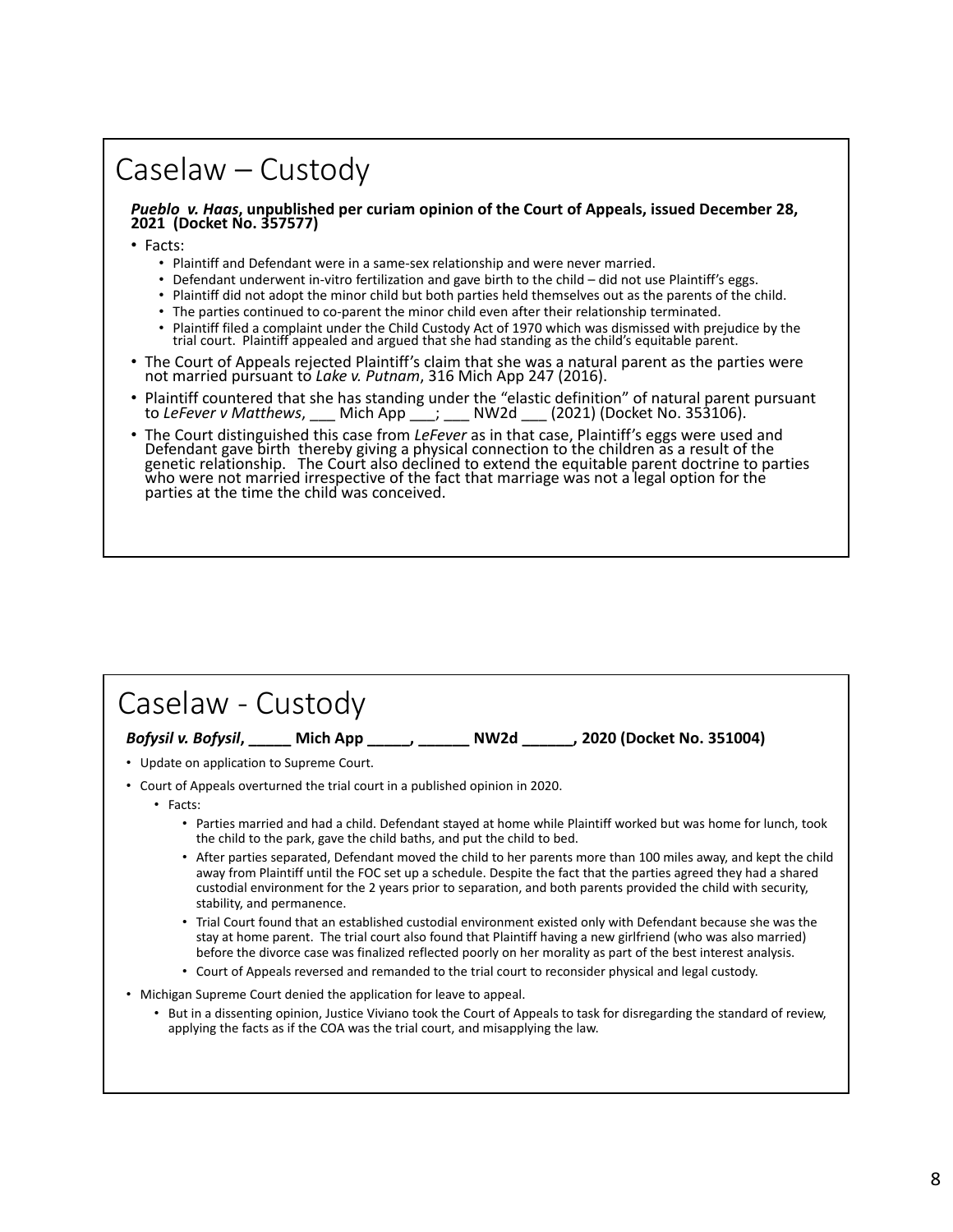### Caselaw – Custody

*Pueblo v. Haas***, unpublished per curiam opinion of the Court of Appeals, issued December 28, 2021 (Docket No. 357577)**

• Facts:

- Plaintiff and Defendant were in a same‐sex relationship and were never married.
- Defendant underwent in-vitro fertilization and gave birth to the child did not use Plaintiff's eggs.
- Plaintiff did not adopt the minor child but both parties held themselves out as the parents of the child.
- The parties continued to co-parent the minor child even after their relationship terminated.
- Plaintiff filed a complaint under the Child Custody Act of 1970 which was dismissed with prejudice by the trial court. Plaintiff appealed and argued that she had standing as the child's equitable parent.
- The Court of Appeals rejected Plaintiff's claim that she was a natural parent as the parties were not married pursuant to *Lake v. Putnam*, 316 Mich App 247 (2016).
- Plaintiff countered that she has standing under the "elastic definition" of natural parent pursuant to Lefever v Matthews. Mich App : NW2d (2021) (Docket No. 353106). Mich App \_\_\_; \_\_\_ NW2d \_\_\_ (2021) (Docket No. 353106).
- The Court distinguished this case from *LeFever* as in that case, Plaintiff's eggs were used and Defendant gave birth thereby giving a physical connection to the children as a result of the genetic relationship. The Court also declined to extend the equitable parent doctrine to parties who were not married irrespective of the fact that marriage was not a legal option for the parties at the time the child was

| Caselaw - Custody                                                                          |                                                                                                       |                                                                                                                                                                                                                                                                                                                                                      |
|--------------------------------------------------------------------------------------------|-------------------------------------------------------------------------------------------------------|------------------------------------------------------------------------------------------------------------------------------------------------------------------------------------------------------------------------------------------------------------------------------------------------------------------------------------------------------|
| Bofysil v. Bofysil, ______ Mich App ______, _______ NW2d _______, 2020 (Docket No. 351004) |                                                                                                       |                                                                                                                                                                                                                                                                                                                                                      |
| • Update on application to Supreme Court.                                                  |                                                                                                       |                                                                                                                                                                                                                                                                                                                                                      |
| • Court of Appeals overturned the trial court in a published opinion in 2020.              |                                                                                                       |                                                                                                                                                                                                                                                                                                                                                      |
| $\cdot$ Facts:                                                                             |                                                                                                       |                                                                                                                                                                                                                                                                                                                                                      |
|                                                                                            | the child to the park, gave the child baths, and put the child to bed.                                | • Parties married and had a child. Defendant stayed at home while Plaintiff worked but was home for lunch, took                                                                                                                                                                                                                                      |
| stability, and permanence.                                                                 |                                                                                                       | • After parties separated, Defendant moved the child to her parents more than 100 miles away, and kept the child<br>away from Plaintiff until the FOC set up a schedule. Despite the fact that the parties agreed they had a shared<br>custodial environment for the 2 years prior to separation, and both parents provided the child with security, |
|                                                                                            | • Court of Appeals reversed and remanded to the trial court to reconsider physical and legal custody. | • Trial Court found that an established custodial environment existed only with Defendant because she was the<br>stay at home parent. The trial court also found that Plaintiff having a new girlfriend (who was also married)<br>before the divorce case was finalized reflected poorly on her morality as part of the best interest analysis.      |
| Michigan Supreme Court denied the application for leave to appeal.                         |                                                                                                       |                                                                                                                                                                                                                                                                                                                                                      |
| ٠                                                                                          | applying the facts as if the COA was the trial court, and misapplying the law.                        | But in a dissenting opinion, Justice Viviano took the Court of Appeals to task for disregarding the standard of review,                                                                                                                                                                                                                              |
|                                                                                            |                                                                                                       |                                                                                                                                                                                                                                                                                                                                                      |
|                                                                                            |                                                                                                       |                                                                                                                                                                                                                                                                                                                                                      |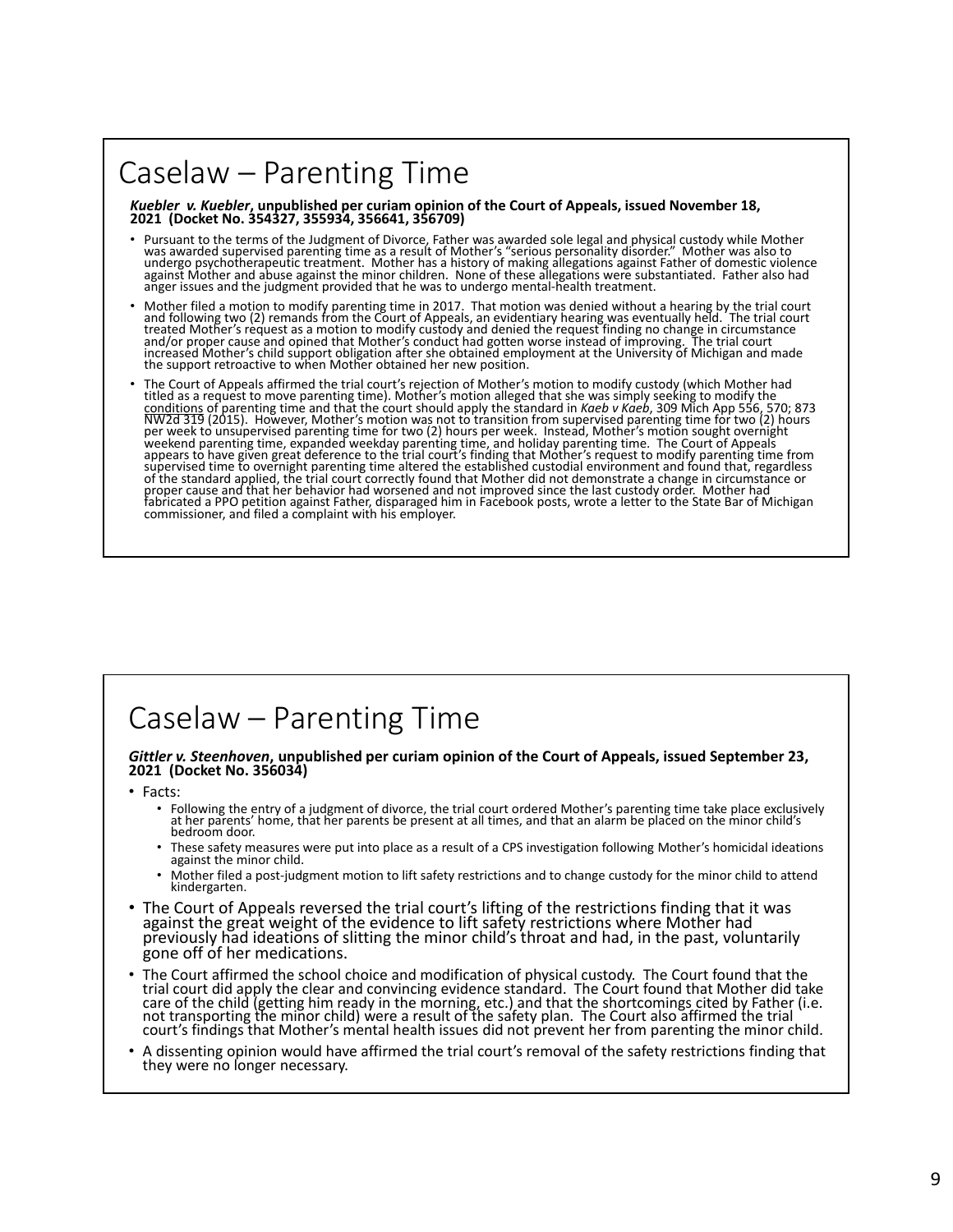# Caselaw – Parenting Time

*Kuebler v. Kuebler***, unpublished per curiam opinion of the Court of Appeals, issued November 18, 2021 (Docket No. 354327, 355934, 356641, 356709)**

- Pursuant to the terms of the Judgment of Divorce, Father was awarded sole legal and physical custody while Mother was awarded supervised parenting time as a result of Mother's "serious personality disorder." Mother was als
- Mother filed a motion to modify parenting time in 2017. That motion was denied without a hearing by the trial court<br>and following two (2) remands from the Court of Appeals, an evidentiary hearing was eventually held. The t
- The Court of Appeals affirmed the trial court's rejection of Mother's motion to modify custody (which Mother had<br>titled as a request to move parenting time). Mother's motion alleged that she was simply seeking to modify th

# Caselaw – Parenting Time

# *Gittler v. Steenhoven***, unpublished per curiam opinion of the Court of Appeals, issued September 23, 2021 (Docket No. 356034)**

- Facts:
	- Following the entry of a judgment of divorce, the trial court ordered Mother's parenting time take place exclusively at her parents' home, that her parents be present at all times, and that an alarm be placed on the mino
	- These safety measures were put into place as a result of a CPS investigation following Mother's homicidal ideations against the minor child.
	- Mother filed a post-judgment motion to lift safety restrictions and to change custody for the minor child to attend<br>kindergarten.
- The Court of Appeals reversed the trial court's lifting of the restrictions finding that it was against the great weight of the evidence to lift safety restrictions where Mother had previously had ideations of slitting the minor child's throat and had, in the past, voluntarily gone off of her medications.
- The Court affirmed the school choice and modification of physical custody. The Court found that the trial court did apply the clear and convincing evidence standard. The Court found that Mother did take care of the child (getting him ready in the morning, etc.) and that the shortcomings cited by Father (i.e.<br>not transporting the minor child) were a result of the safety plan. The Court also affirmed the trial court's findings that Mother's mental health issues did not prevent her from parenting the minor child.
- A dissenting opinion would have affirmed the trial court's removal of the safety restrictions finding that they were no longer necessary.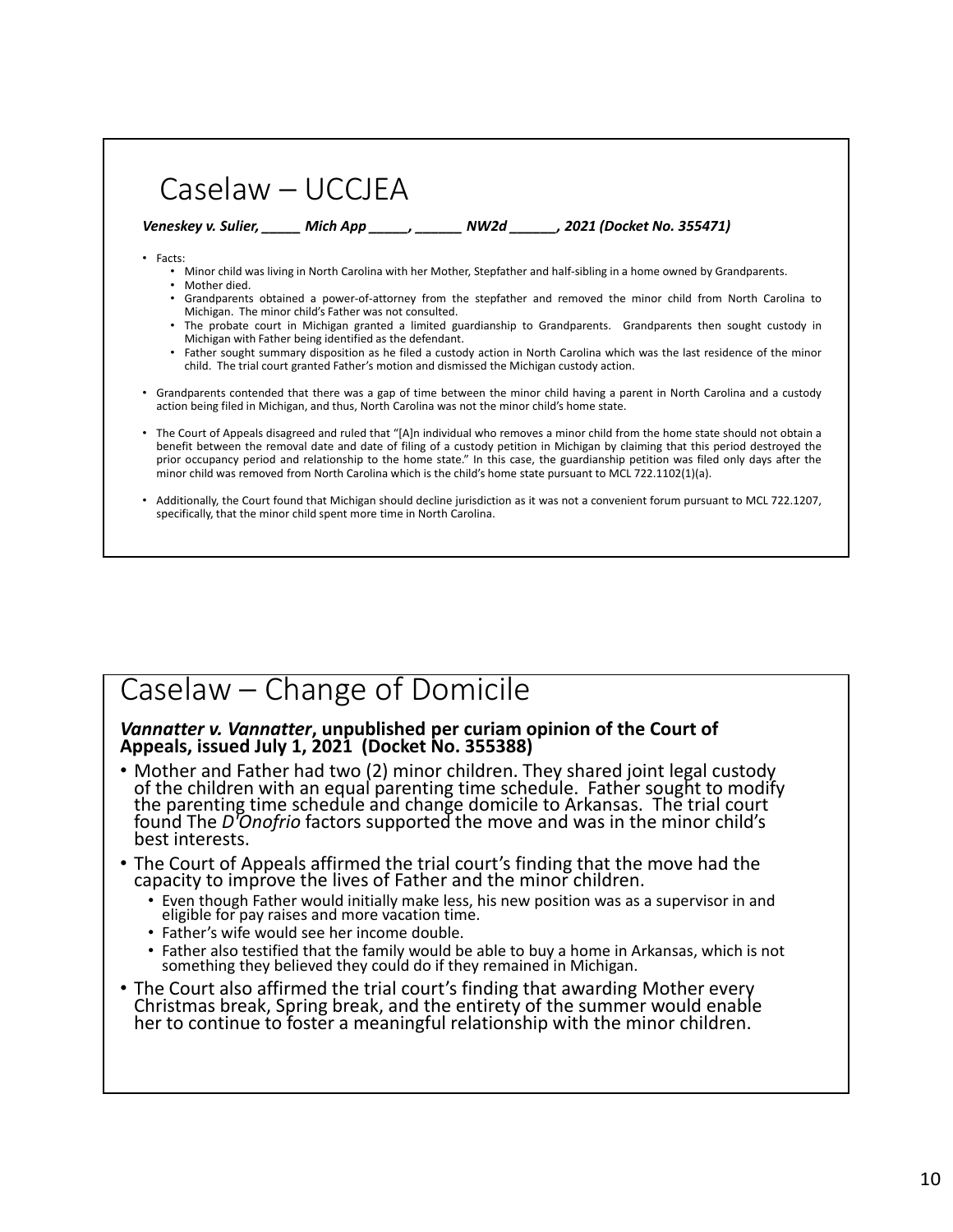|                                                               | $Caselaw-UCCIEA$                                                                                                 |                                                                                                                                                                                                                       |                                                                                                                                                                                                                                                                                                                                                                                                             |
|---------------------------------------------------------------|------------------------------------------------------------------------------------------------------------------|-----------------------------------------------------------------------------------------------------------------------------------------------------------------------------------------------------------------------|-------------------------------------------------------------------------------------------------------------------------------------------------------------------------------------------------------------------------------------------------------------------------------------------------------------------------------------------------------------------------------------------------------------|
|                                                               |                                                                                                                  | Veneskey v. Sulier, Mich App Mich November 2021 (Docket No. 355471)                                                                                                                                                   |                                                                                                                                                                                                                                                                                                                                                                                                             |
| $\cdot$ Facts:<br>Mother died.<br>٠<br>$\bullet$<br>$\bullet$ | Michigan. The minor child's Father was not consulted.<br>Michigan with Father being identified as the defendant. | • Minor child was living in North Carolina with her Mother, Stepfather and half-sibling in a home owned by Grandparents.<br>child. The trial court granted Father's motion and dismissed the Michigan custody action. | Grandparents obtained a power-of-attorney from the stepfather and removed the minor child from North Carolina to<br>The probate court in Michigan granted a limited guardianship to Grandparents. Grandparents then sought custody in<br>Father sought summary disposition as he filed a custody action in North Carolina which was the last residence of the minor                                         |
|                                                               |                                                                                                                  | action being filed in Michigan, and thus, North Carolina was not the minor child's home state.                                                                                                                        | Grandparents contended that there was a gap of time between the minor child having a parent in North Carolina and a custody                                                                                                                                                                                                                                                                                 |
|                                                               |                                                                                                                  | minor child was removed from North Carolina which is the child's home state pursuant to MCL 722.1102(1)(a).                                                                                                           | • The Court of Appeals disagreed and ruled that "[A]n individual who removes a minor child from the home state should not obtain a<br>benefit between the removal date and date of filing of a custody petition in Michigan by claiming that this period destroyed the<br>prior occupancy period and relationship to the home state." In this case, the guardianship petition was filed only days after the |
|                                                               | specifically, that the minor child spent more time in North Carolina.                                            |                                                                                                                                                                                                                       | Additionally, the Court found that Michigan should decline jurisdiction as it was not a convenient forum pursuant to MCL 722.1207,                                                                                                                                                                                                                                                                          |

#### Caselaw – Change of Domicile

*Vannatter v. Vannatter***, unpublished per curiam opinion of the Court of Appeals, issued July 1, 2021 (Docket No. 355388)**

- Mother and Father had two (2) minor children. They shared joint legal custody of the children with an equal parenting time schedule. Father sought to modify the parenting time schedule and change domicile to Arkansas. Th found The *D'Onofrio* factors supported the move and was in the minor child's best interests.
- The Court of Appeals affirmed the trial court's finding that the move had the capacity to improve the lives of Father and the minor children.
	- Even though Father would initially make less, his new position was as a supervisor in and eligible for pay raises and more vacation time.
	- Father's wife would see her income double.
	- Father also testified that the family would be able to buy a home in Arkansas, which is not something they believed they could do if they remained in Michigan.
- The Court also affirmed the trial court's finding that awarding Mother every Christmas break, Spring break, and the entirety of the summer would enable her to continue to foster a meaningful relationship with the minor children.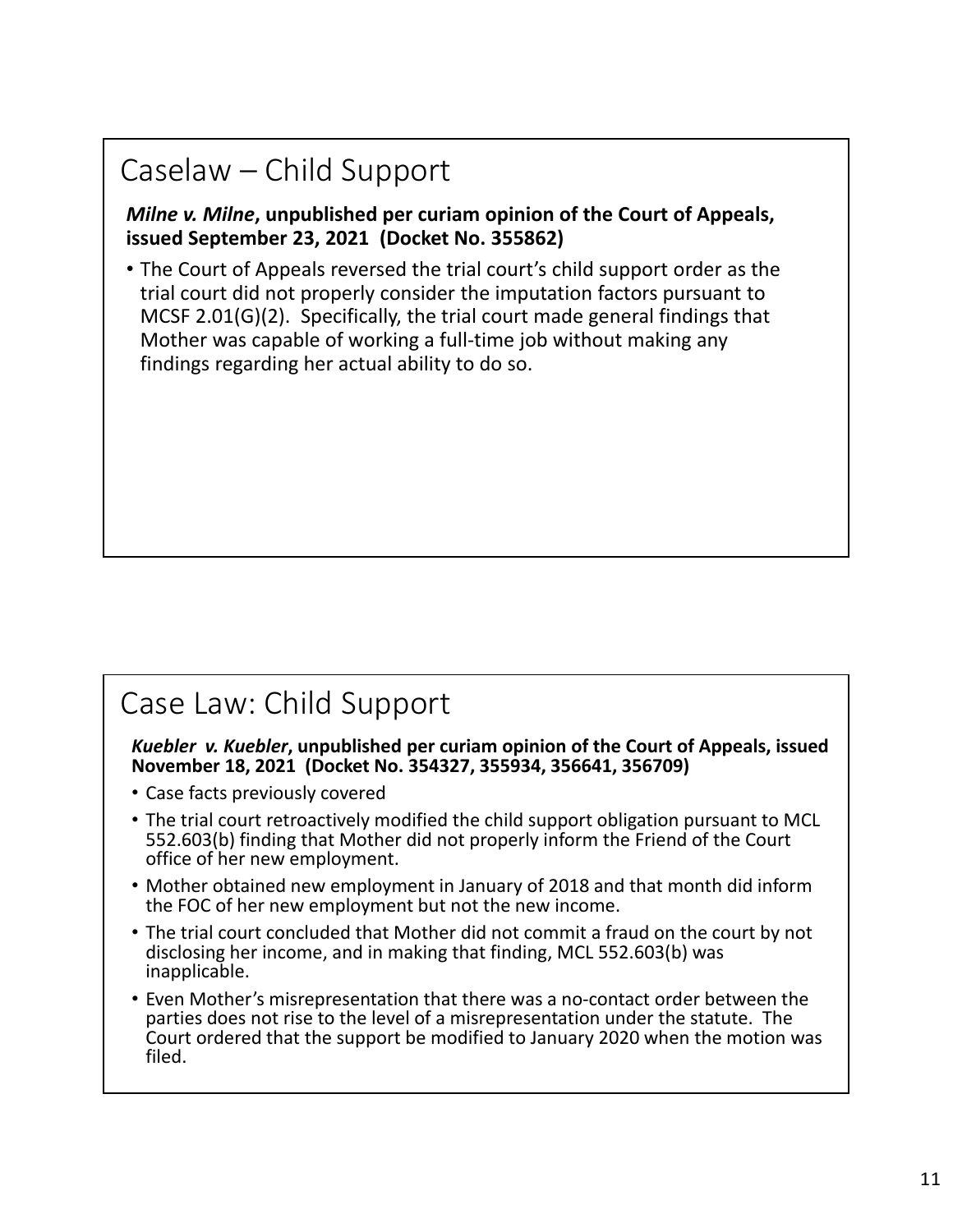# Caselaw – Child Support

*Milne v. Milne***, unpublished per curiam opinion of the Court of Appeals, issued September 23, 2021 (Docket No. 355862)**

• The Court of Appeals reversed the trial court's child support order as the trial court did not properly consider the imputation factors pursuant to MCSF 2.01(G)(2). Specifically, the trial court made general findings that Mother was capable of working a full‐time job without making any findings regarding her actual ability to do so.

### Case Law: Child Support

*Kuebler v. Kuebler***, unpublished per curiam opinion of the Court of Appeals, issued November 18, 2021 (Docket No. 354327, 355934, 356641, 356709)**

- Case facts previously covered
- The trial court retroactively modified the child support obligation pursuant to MCL 552.603(b) finding that Mother did not properly inform the Friend of the Court office of her new employment.
- Mother obtained new employment in January of 2018 and that month did inform the FOC of her new employment but not the new income.
- The trial court concluded that Mother did not commit a fraud on the court by not disclosing her income, and in making that finding, MCL 552.603(b) was inapplicable.
- Even Mother's misrepresentation that there was a no‐contact order between the parties does not rise to the level of a misrepresentation under the statute. The Court ordered that the support be modified to January 2020 when the motion was filed.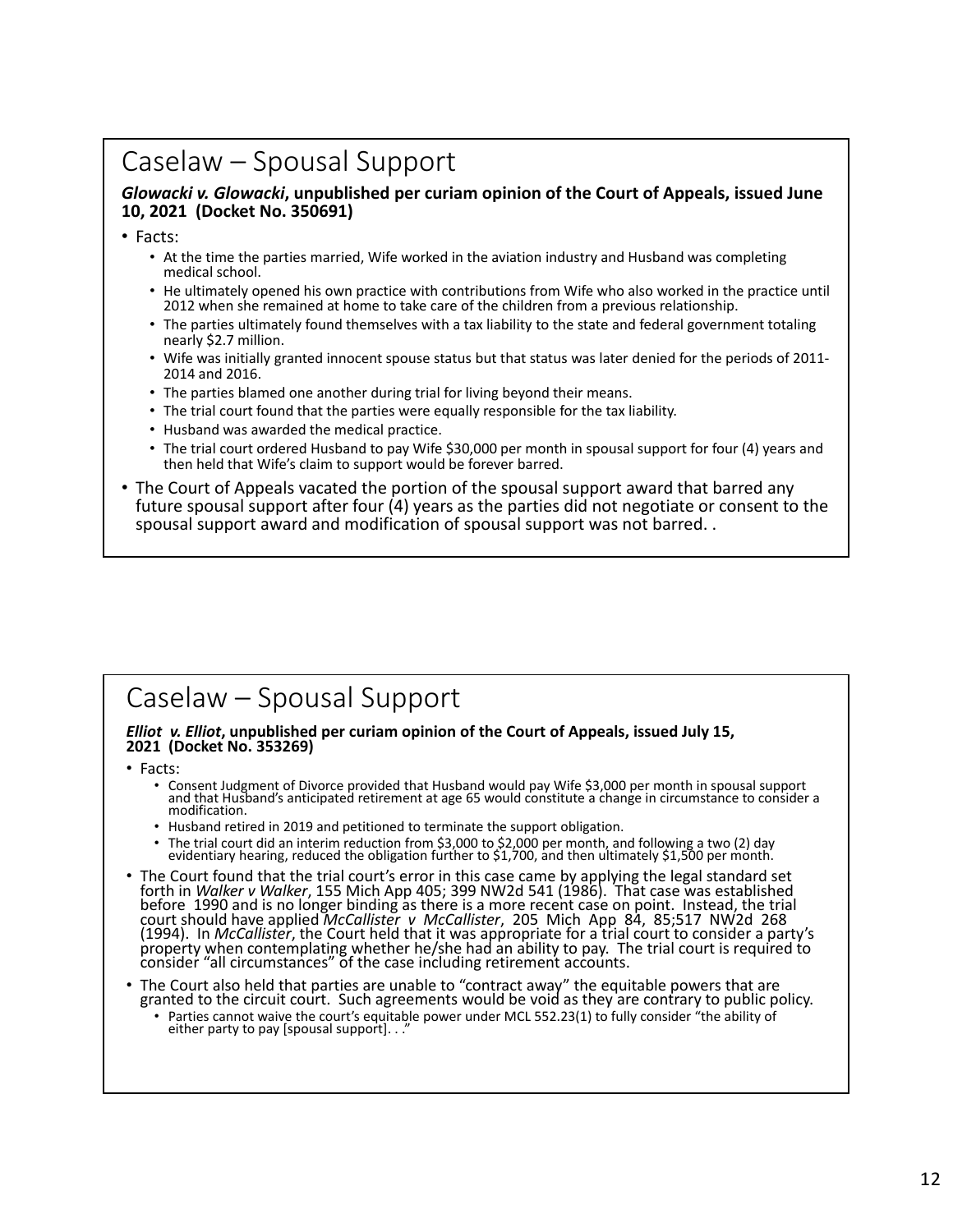#### Caselaw – Spousal Support

#### *Glowacki v. Glowacki***, unpublished per curiam opinion of the Court of Appeals, issued June 10, 2021 (Docket No. 350691)**

• Facts:

- At the time the parties married, Wife worked in the aviation industry and Husband was completing medical school.
- He ultimately opened his own practice with contributions from Wife who also worked in the practice until 2012 when she remained at home to take care of the children from a previous relationship.
- The parties ultimately found themselves with a tax liability to the state and federal government totaling nearly \$2.7 million.
- Wife was initially granted innocent spouse status but that status was later denied for the periods of 2011‐ 2014 and 2016.
- The parties blamed one another during trial for living beyond their means.
- The trial court found that the parties were equally responsible for the tax liability.
- Husband was awarded the medical practice.
- The trial court ordered Husband to pay Wife \$30,000 per month in spousal support for four (4) years and then held that Wife's claim to support would be forever barred.
- The Court of Appeals vacated the portion of the spousal support award that barred any future spousal support after four (4) years as the parties did not negotiate or consent to the spousal support award and modification of spousal support was not barred. .

#### Caselaw – Spousal Support

# *Elliot v. Elliot***, unpublished per curiam opinion of the Court of Appeals, issued July 15, 2021 (Docket No. 353269)**

• Facts:

- Consent Judgment of Divorce provided that Husband would pay Wife \$3,000 per month in spousal support<br>and that Husband's anticipated retirement at age 65 would constitute a change in circumstance to consider a<br>modification.
- 
- Husband retired in 2019 and petitioned to terminate the support obligation.<br>• The trial court did an interim reduction from \$3,000 to \$2,000 per month, and following a two (2) day • The trial court did an interim reduction from \$3,000 to \$2,000 per month, and following a two (2) day evidentiary hearing, reduced the obligation further to \$1,700, and then ultimately \$1,500 per month.
- The Court found that the trial court's error in this case came by applying the legal standard set forth in *Walker v Walker*, 155 Mich App 405; 399 NW2d 541 (1986). That case was established before 1990 and is no longer binding as there is a more recent case on point. Instead, the trial<br>court should have applied *McCallister v McCallister*, 205 Mich App 84, 85;517 NW2d 268<br>(1994). In *McCallister*, the Cou
- The Court also held that parties are unable to "contract away" the equitable powers that are granted to the circuit court. Such agreements would be void as they are contrary to public policy.
	- Parties cannot waive the court's equitable power under MCL 552.23(1) to fully consider "the ability of either party to pay [spousal support]. . ."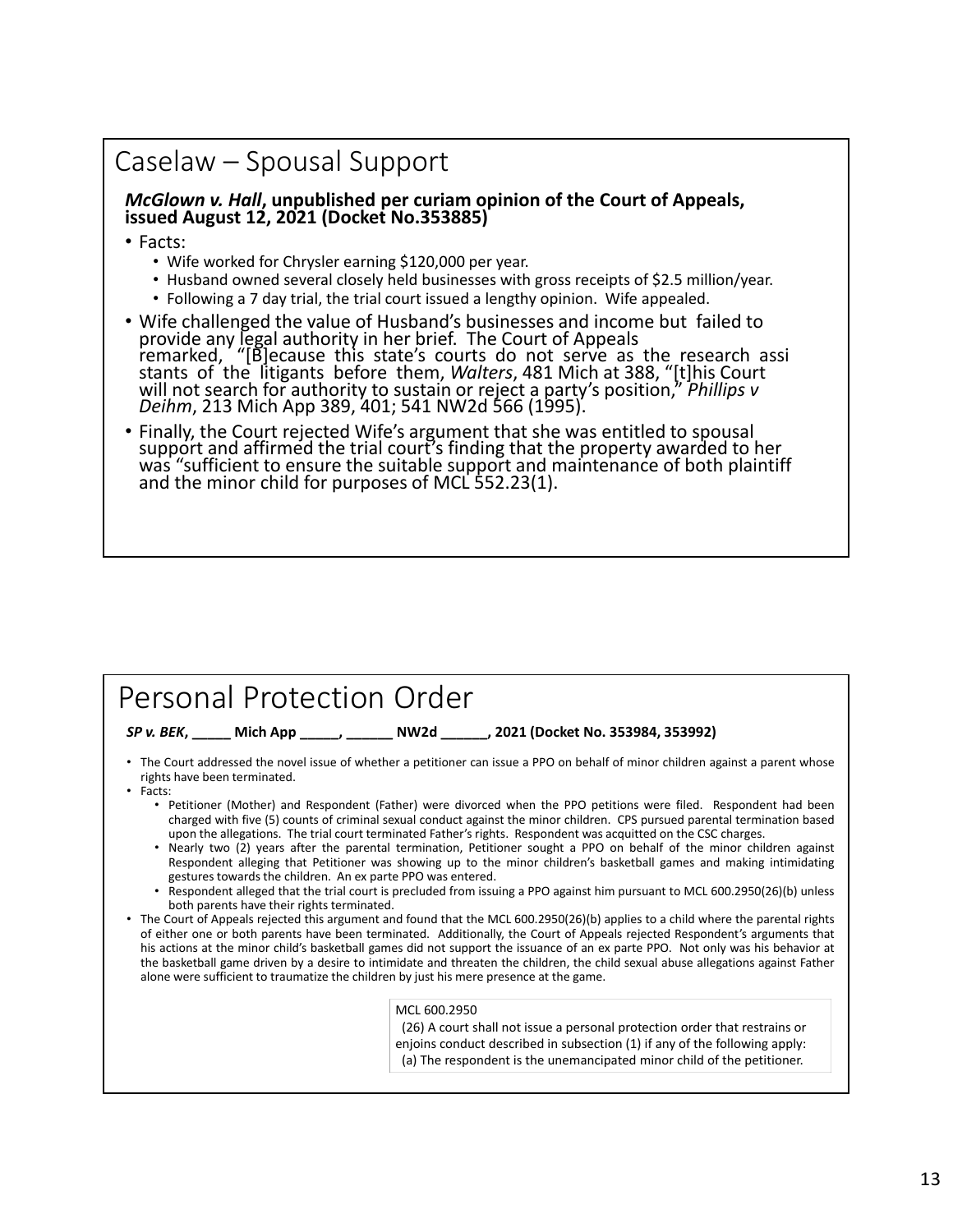#### Caselaw – Spousal Support

# *McGlown v. Hall***, unpublished per curiam opinion of the Court of Appeals, issued August 12, 2021 (Docket No.353885)**

• Facts:

- Wife worked for Chrysler earning \$120,000 per year.
- Husband owned several closely held businesses with gross receipts of \$2.5 million/year.
- Following a 7 day trial, the trial court issued a lengthy opinion. Wife appealed.
- Wife challenged the value of Husband's businesses and income but failed to provide any legal authority in her brief. The Court of Appeals remarked, "[B]ecause this state's courts do not serve as the research assi stants of the litigants before them, Walters, 481 Mich at 388, "[t]his Court<br>will not search for authority to sustain or reject a party's position," Phillips v<br>Deihm, 213 Mich App 389, 401; 541 NW2d 566 (1995).
- Finally, the Court rejected Wife's argument that she was entitled to spousal<br>support and affirmed the trial court's finding that the property awarded to her<br>was "sufficient to ensure the suitable support and maintenance

#### Personal Protection Order

*SP v. BEK***, \_\_\_\_\_ Mich App \_\_\_\_\_, \_\_\_\_\_\_ NW2d \_\_\_\_\_\_, 2021 (Docket No. 353984, 353992)**

- The Court addressed the novel issue of whether a petitioner can issue a PPO on behalf of minor children against a parent whose rights have been terminated.
- Facts:
	- Petitioner (Mother) and Respondent (Father) were divorced when the PPO petitions were filed. Respondent had been charged with five (5) counts of criminal sexual conduct against the minor children. CPS pursued parental termination based upon the allegations. The trial court terminated Father's rights. Respondent was acquitted on the CSC charges.
	- Nearly two (2) years after the parental termination, Petitioner sought a PPO on behalf of the minor children against Respondent alleging that Petitioner was showing up to the minor children's basketball games and making intimidating gestures towards the children. An ex parte PPO was entered.
	- Respondent alleged that the trial court is precluded from issuing a PPO against him pursuant to MCL 600.2950(26)(b) unless both parents have their rights terminated.
- The Court of Appeals rejected this argument and found that the MCL 600.2950(26)(b) applies to a child where the parental rights of either one or both parents have been terminated. Additionally, the Court of Appeals rejected Respondent's arguments that his actions at the minor child's basketball games did not support the issuance of an ex parte PPO. Not only was his behavior at the basketball game driven by a desire to intimidate and threaten the children, the child sexual abuse allegations against Father alone were sufficient to traumatize the children by just his mere presence at the game.

#### MCL 600.2950

(26) A court shall not issue a personal protection order that restrains or enjoins conduct described in subsection (1) if any of the following apply: (a) The respondent is the unemancipated minor child of the petitioner.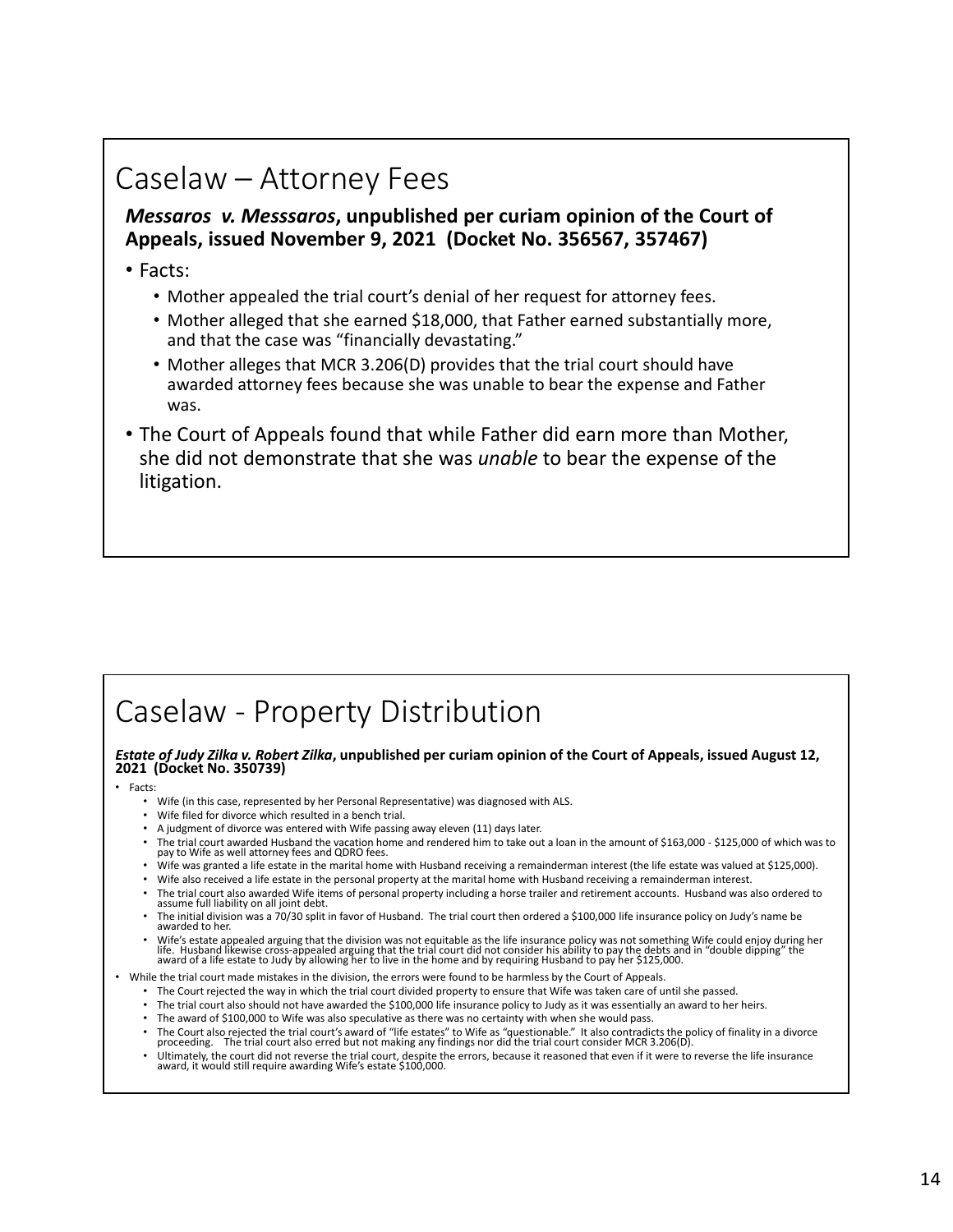# Caselaw – Attorney Fees

#### *Messaros v. Messsaros***, unpublished per curiam opinion of the Court of Appeals, issued November 9, 2021 (Docket No. 356567, 357467)**

#### • Facts:

- Mother appealed the trial court's denial of her request for attorney fees.
- Mother alleged that she earned \$18,000, that Father earned substantially more, and that the case was "financially devastating."
- Mother alleges that MCR 3.206(D) provides that the trial court should have awarded attorney fees because she was unable to bear the expense and Father was.
- The Court of Appeals found that while Father did earn more than Mother, she did not demonstrate that she was *unable* to bear the expense of the litigation.

# Caselaw ‐ Property Distribution

#### *Estate of Judy Zilka v. Robert Zilka***, unpublished per curiam opinion of the Court of Appeals, issued August 12, 2021 (Docket No. 350739)**

• Facts:

- Wife (in this case, represented by her Personal Representative) was diagnosed with ALS.
- Wife filed for divorce which resulted in a bench trial.
- A judgment of divorce was entered with Wife passing away eleven (11) days later.
- The trial court awarded Husband the vacation home and rendered him to take out a loan in the amount of \$163,000 \$125,000 of which was to pay to Wife as well attorney fees and QDRO fees.
- Wife was granted a life estate in the marital home with Husband receiving a remainderman interest (the life estate was valued at \$125,000).
- Wife also received a life estate in the personal property at the marital home with Husband receiving a remainderman interest.
- The trial court also awarded Wife items of personal property including a horse trailer and retirement accounts. Husband was also ordered to assume full liability on all joint debt.
- The initial division was a 70/30 split in favor of Husband. The trial court then ordered a \$100,000 life insurance policy on Judy's name be awarded to her.
- University and the division was not equitable as the life insurance policy was not something Wife could enjoy during her<br>University and the wise cross-appealed arguing that the trial court did not consider his ability to p

• While the trial court made mistakes in the division, the errors were found to be harmless by the Court of Appeals.

- The Court rejected the way in which the trial court divided property to ensure that Wife was taken care of until she passed.
- The trial court also should not have awarded the \$100,000 life insurance policy to Judy as it was essentially an award to her heirs.
- The award of \$100,000 to Wife was also speculative as there was no certainty with when she would pass.
- The Court also rejected the trial court's award of "life estates" to Wife as "questionable." It also contradicts the policy of finality in a divorce proceeding. The trial court also erred but not making any findings nor
- Ultimately, the court did not reverse the trial court, despite the errors, because it reasoned that even if it were to reverse the life insurance award, it would still require awarding Wife's estate \$100,000.